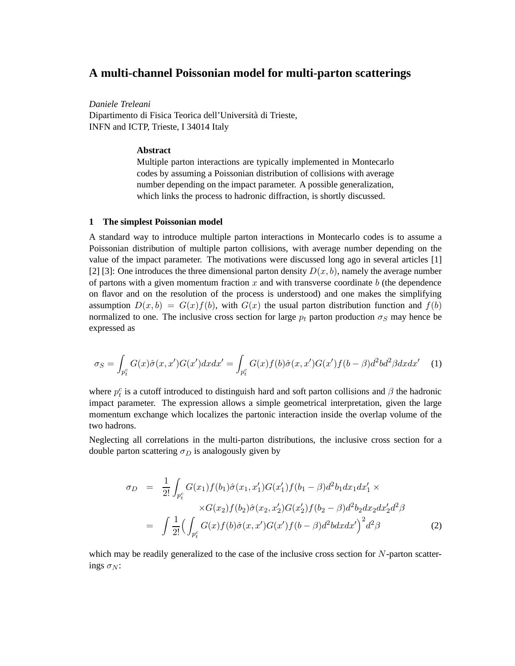# **A multi-channel Poissonian model for multi-parton scatterings**

*Daniele Treleani*

Dipartimento di Fisica Teorica dell'Università di Trieste, INFN and ICTP, Trieste, I 34014 Italy

### **Abstract**

Multiple parton interactions are typically implemented in Montecarlo codes by assuming a Poissonian distribution of collisions with average number depending on the impact parameter. A possible generalization, which links the process to hadronic diffraction, is shortly discussed.

# **1 The simplest Poissonian model**

A standard way to introduce multiple parton interactions in Montecarlo codes is to assume a Poissonian distribution of multiple parton collisions, with average number depending on the value of the impact parameter. The motivations were discussed long ago in several articles [1] [2] [3]: One introduces the three dimensional parton density  $D(x, b)$ , namely the average number of partons with a given momentum fraction x and with transverse coordinate  $b$  (the dependence on flavor and on the resolution of the process is understood) and one makes the simplifying assumption  $D(x, b) = G(x)f(b)$ , with  $G(x)$  the usual parton distribution function and  $f(b)$ normalized to one. The inclusive cross section for large  $p_t$  parton production  $\sigma_S$  may hence be expressed as

$$
\sigma_S = \int_{p_t^c} G(x)\hat{\sigma}(x, x')G(x')dxdx' = \int_{p_t^c} G(x)f(b)\hat{\sigma}(x, x')G(x')f(b-\beta)d^2bd^2\beta dxdx'
$$
 (1)

where  $p_t^c$  is a cutoff introduced to distinguish hard and soft parton collisions and  $\beta$  the hadronic impact parameter. The expression allows a simple geometrical interpretation, given the large momentum exchange which localizes the partonic interaction inside the overlap volume of the two hadrons.

Neglecting all correlations in the multi-parton distributions, the inclusive cross section for a double parton scattering  $\sigma_D$  is analogously given by

$$
\sigma_D = \frac{1}{2!} \int_{p_t^c} G(x_1) f(b_1) \hat{\sigma}(x_1, x_1') G(x_1') f(b_1 - \beta) d^2 b_1 dx_1 dx_1' \times
$$
  
 
$$
\times G(x_2) f(b_2) \hat{\sigma}(x_2, x_2') G(x_2') f(b_2 - \beta) d^2 b_2 dx_2 dx_2' d^2 \beta
$$
  
= 
$$
\int \frac{1}{2!} \Big( \int_{p_t^c} G(x) f(b) \hat{\sigma}(x, x') G(x') f(b - \beta) d^2 b dx dx' \Big)^2 d^2 \beta
$$
 (2)

which may be readily generalized to the case of the inclusive cross section for N-parton scatterings  $\sigma_N$ :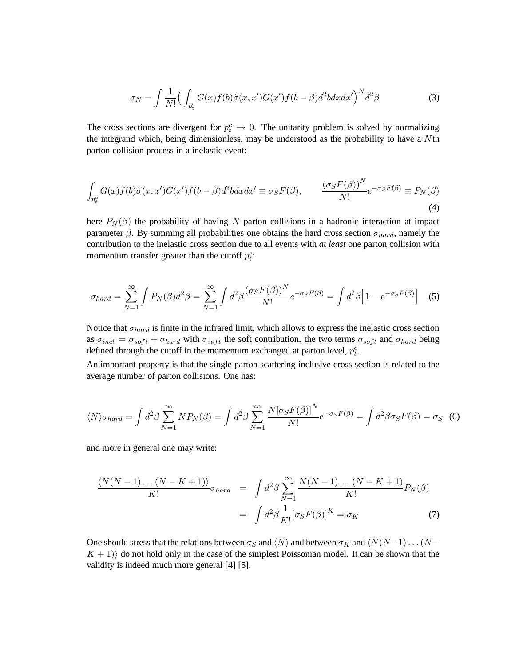$$
\sigma_N = \int \frac{1}{N!} \Big( \int_{p_t^c} G(x) f(b) \hat{\sigma}(x, x') G(x') f(b - \beta) d^2 b dx dx' \Big)^N d^2 \beta \tag{3}
$$

The cross sections are divergent for  $p_t^c \to 0$ . The unitarity problem is solved by normalizing the integrand which, being dimensionless, may be understood as the probability to have a Nth parton collision process in a inelastic event:

$$
\int_{p_t^c} G(x)f(b)\hat{\sigma}(x,x')G(x')f(b-\beta)d^2bdxdx' \equiv \sigma_S F(\beta), \qquad \frac{(\sigma_S F(\beta))^N}{N!}e^{-\sigma_S F(\beta)} \equiv P_N(\beta)
$$
\n(4)

here  $P_N(\beta)$  the probability of having N parton collisions in a hadronic interaction at impact parameter  $\beta$ . By summing all probabilities one obtains the hard cross section  $\sigma_{hard}$ , namely the contribution to the inelastic cross section due to all events with *at least* one parton collision with momentum transfer greater than the cutoff  $p_t^c$ :

$$
\sigma_{hard} = \sum_{N=1}^{\infty} \int P_N(\beta) d^2 \beta = \sum_{N=1}^{\infty} \int d^2 \beta \frac{(\sigma_S F(\beta))^N}{N!} e^{-\sigma_S F(\beta)} = \int d^2 \beta \Big[ 1 - e^{-\sigma_S F(\beta)} \Big] \tag{5}
$$

Notice that  $\sigma_{hard}$  is finite in the infrared limit, which allows to express the inelastic cross section as  $\sigma_{inel} = \sigma_{soft} + \sigma_{hard}$  with  $\sigma_{soft}$  the soft contribution, the two terms  $\sigma_{soft}$  and  $\sigma_{hard}$  being defined through the cutoff in the momentum exchanged at parton level,  $p_t^c$ .

An important property is that the single parton scattering inclusive cross section is related to the average number of parton collisions. One has:

$$
\langle N \rangle \sigma_{hard} = \int d^2 \beta \sum_{N=1}^{\infty} N P_N(\beta) = \int d^2 \beta \sum_{N=1}^{\infty} \frac{N [\sigma_S F(\beta)]^N}{N!} e^{-\sigma_S F(\beta)} = \int d^2 \beta \sigma_S F(\beta) = \sigma_S
$$
 (6)

and more in general one may write:

$$
\frac{\langle N(N-1)\dots(N-K+1)\rangle}{K!}\sigma_{hard} = \int d^2\beta \sum_{N=1}^{\infty} \frac{N(N-1)\dots(N-K+1)}{K!} P_N(\beta)
$$

$$
= \int d^2\beta \frac{1}{K!} [\sigma_S F(\beta)]^K = \sigma_K \tag{7}
$$

One should stress that the relations between  $\sigma_S$  and  $\langle N \rangle$  and between  $\sigma_K$  and  $\langle N(N-1) \dots (N-1)$ .  $K + 1$ ) do not hold only in the case of the simplest Poissonian model. It can be shown that the validity is indeed much more general [4] [5].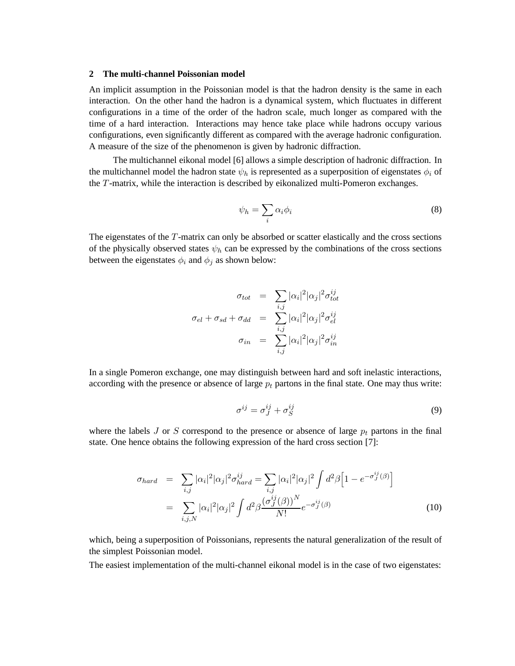## **2 The multi-channel Poissonian model**

An implicit assumption in the Poissonian model is that the hadron density is the same in each interaction. On the other hand the hadron is a dynamical system, which fluctuates in different configurations in a time of the order of the hadron scale, much longer as compared with the time of a hard interaction. Interactions may hence take place while hadrons occupy various configurations, even significantly different as compared with the average hadronic configuration. A measure of the size of the phenomenon is given by hadronic diffraction.

The multichannel eikonal model [6] allows a simple description of hadronic diffraction. In the multichannel model the hadron state  $\psi_h$  is represented as a superposition of eigenstates  $\phi_i$  of the T-matrix, while the interaction is described by eikonalized multi-Pomeron exchanges.

$$
\psi_h = \sum_i \alpha_i \phi_i \tag{8}
$$

The eigenstates of the T-matrix can only be absorbed or scatter elastically and the cross sections of the physically observed states  $\psi_h$  can be expressed by the combinations of the cross sections between the eigenstates  $\phi_i$  and  $\phi_j$  as shown below:

$$
\sigma_{tot} = \sum_{i,j} |\alpha_i|^2 |\alpha_j|^2 \sigma_{tot}^{ij}
$$

$$
\sigma_{el} + \sigma_{sd} + \sigma_{dd} = \sum_{i,j} |\alpha_i|^2 |\alpha_j|^2 \sigma_{el}^{ij}
$$

$$
\sigma_{in} = \sum_{i,j} |\alpha_i|^2 |\alpha_j|^2 \sigma_{in}^{ij}
$$

In a single Pomeron exchange, one may distinguish between hard and soft inelastic interactions, according with the presence or absence of large  $p_t$  partons in the final state. One may thus write:

$$
\sigma^{ij} = \sigma^{ij}_J + \sigma^{ij}_S \tag{9}
$$

where the labels J or S correspond to the presence or absence of large  $p_t$  partons in the final state. One hence obtains the following expression of the hard cross section [7]:

$$
\sigma_{hard} = \sum_{i,j} |\alpha_i|^2 |\alpha_j|^2 \sigma_{hard}^{ij} = \sum_{i,j} |\alpha_i|^2 |\alpha_j|^2 \int d^2 \beta \Big[ 1 - e^{-\sigma_j^{ij}(\beta)} \Big]
$$
  
= 
$$
\sum_{i,j,N} |\alpha_i|^2 |\alpha_j|^2 \int d^2 \beta \frac{(\sigma_{ij}^{ij}(\beta))^N}{N!} e^{-\sigma_{ij}^{ij}(\beta)}
$$
(10)

which, being a superposition of Poissonians, represents the natural generalization of the result of the simplest Poissonian model.

The easiest implementation of the multi-channel eikonal model is in the case of two eigenstates: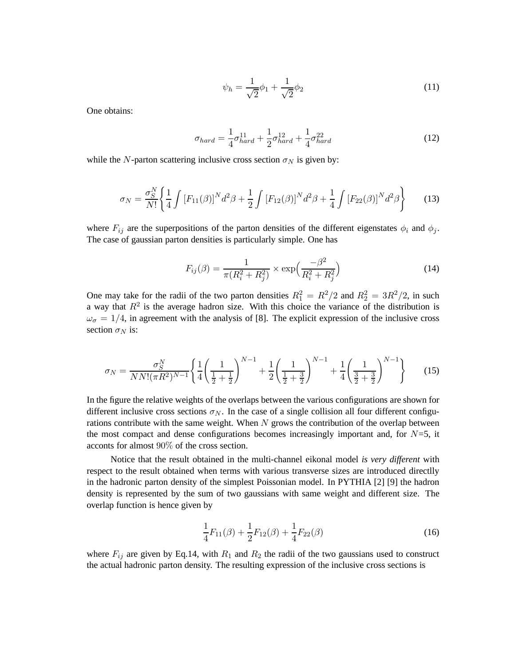$$
\psi_h = \frac{1}{\sqrt{2}} \phi_1 + \frac{1}{\sqrt{2}} \phi_2 \tag{11}
$$

One obtains:

$$
\sigma_{hard} = \frac{1}{4}\sigma_{hard}^{11} + \frac{1}{2}\sigma_{hard}^{12} + \frac{1}{4}\sigma_{hard}^{22}
$$
 (12)

while the N-parton scattering inclusive cross section  $\sigma_N$  is given by:

$$
\sigma_N = \frac{\sigma_S^N}{N!} \left\{ \frac{1}{4} \int \left[ F_{11}(\beta) \right]^N d^2 \beta + \frac{1}{2} \int \left[ F_{12}(\beta) \right]^N d^2 \beta + \frac{1}{4} \int \left[ F_{22}(\beta) \right]^N d^2 \beta \right\} \tag{13}
$$

where  $F_{ij}$  are the superpositions of the parton densities of the different eigenstates  $\phi_i$  and  $\phi_j$ . The case of gaussian parton densities is particularly simple. One has

$$
F_{ij}(\beta) = \frac{1}{\pi (R_i^2 + R_j^2)} \times \exp\left(\frac{-\beta^2}{R_i^2 + R_j^2}\right)
$$
 (14)

One may take for the radii of the two parton densities  $R_1^2 = R^2/2$  and  $R_2^2 = 3R^2/2$ , in such a way that  $R^2$  is the average hadron size. With this choice the variance of the distribution is  $\omega_{\sigma} = 1/4$ , in agreement with the analysis of [8]. The explicit expression of the inclusive cross section  $\sigma_N$  is:

$$
\sigma_N = \frac{\sigma_S^N}{NN!(\pi R^2)^{N-1}} \left\{ \frac{1}{4} \left( \frac{1}{\frac{1}{2} + \frac{1}{2}} \right)^{N-1} + \frac{1}{2} \left( \frac{1}{\frac{1}{2} + \frac{3}{2}} \right)^{N-1} + \frac{1}{4} \left( \frac{1}{\frac{3}{2} + \frac{3}{2}} \right)^{N-1} \right\} \tag{15}
$$

In the figure the relative weights of the overlaps between the various configurations are shown for different inclusive cross sections  $\sigma_N$ . In the case of a single collision all four different configurations contribute with the same weight. When  $N$  grows the contribution of the overlap between the most compact and dense configurations becomes increasingly important and, for  $N=5$ , it acconts for almost 90% of the cross section.

Notice that the result obtained in the multi-channel eikonal model *is very different* with respect to the result obtained when terms with various transverse sizes are introduced directlly in the hadronic parton density of the simplest Poissonian model. In PYTHIA [2] [9] the hadron density is represented by the sum of two gaussians with same weight and different size. The overlap function is hence given by

$$
\frac{1}{4}F_{11}(\beta) + \frac{1}{2}F_{12}(\beta) + \frac{1}{4}F_{22}(\beta)
$$
\n(16)

where  $F_{ij}$  are given by Eq.14, with  $R_1$  and  $R_2$  the radii of the two gaussians used to construct the actual hadronic parton density. The resulting expression of the inclusive cross sections is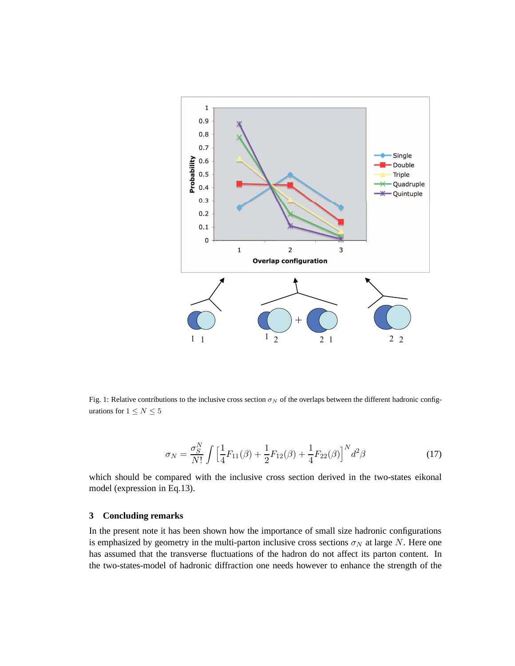

Fig. 1: Relative contributions to the inclusive cross section  $\sigma_N$  of the overlaps between the different hadronic configurations for  $1\leq N\leq 5$ 

$$
\sigma_N = \frac{\sigma_S^N}{N!} \int \left[ \frac{1}{4} F_{11}(\beta) + \frac{1}{2} F_{12}(\beta) + \frac{1}{4} F_{22}(\beta) \right]^N d^2 \beta \tag{17}
$$

which should be compared with the inclusive cross section derived in the two-states eikonal model (expression in Eq.13).

### **3 Concluding remarks**

In the present note it has been shown how the importance of small size hadronic configurations is emphasized by geometry in the multi-parton inclusive cross sections  $\sigma_N$  at large N. Here one has assumed that the transverse fluctuations of the hadron do not affect its parton content. In the two-states-model of hadronic diffraction one needs however to enhance the strength of the